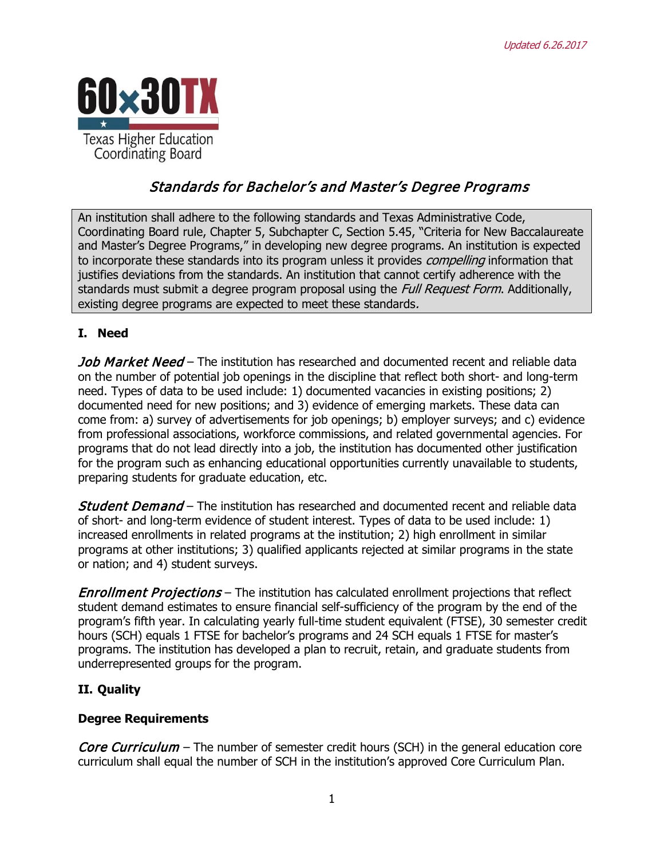

# Standards for Bachelor's and Master's Degree Programs

An institution shall adhere to the following standards and Texas Administrative Code, Coordinating Board rule, Chapter 5, Subchapter C, Section 5.45, "Criteria for New Baccalaureate and Master's Degree Programs," in developing new degree programs. An institution is expected to incorporate these standards into its program unless it provides *compelling* information that justifies deviations from the standards. An institution that cannot certify adherence with the standards must submit a degree program proposal using the *Full Request Form*. Additionally, existing degree programs are expected to meet these standards.

#### **I. Need**

Job Market Need – The institution has researched and documented recent and reliable data on the number of potential job openings in the discipline that reflect both short- and long-term need. Types of data to be used include: 1) documented vacancies in existing positions; 2) documented need for new positions; and 3) evidence of emerging markets. These data can come from: a) survey of advertisements for job openings; b) employer surveys; and c) evidence from professional associations, workforce commissions, and related governmental agencies. For programs that do not lead directly into a job, the institution has documented other justification for the program such as enhancing educational opportunities currently unavailable to students, preparing students for graduate education, etc.

**Student Demand** – The institution has researched and documented recent and reliable data of short- and long-term evidence of student interest. Types of data to be used include: 1) increased enrollments in related programs at the institution; 2) high enrollment in similar programs at other institutions; 3) qualified applicants rejected at similar programs in the state or nation; and 4) student surveys.

**Enrollment Projections** – The institution has calculated enrollment projections that reflect student demand estimates to ensure financial self-sufficiency of the program by the end of the program's fifth year. In calculating yearly full-time student equivalent (FTSE), 30 semester credit hours (SCH) equals 1 FTSE for bachelor's programs and 24 SCH equals 1 FTSE for master's programs. The institution has developed a plan to recruit, retain, and graduate students from underrepresented groups for the program.

## **II. Quality**

#### **Degree Requirements**

Core Curriculum – The number of semester credit hours (SCH) in the general education core curriculum shall equal the number of SCH in the institution's approved Core Curriculum Plan.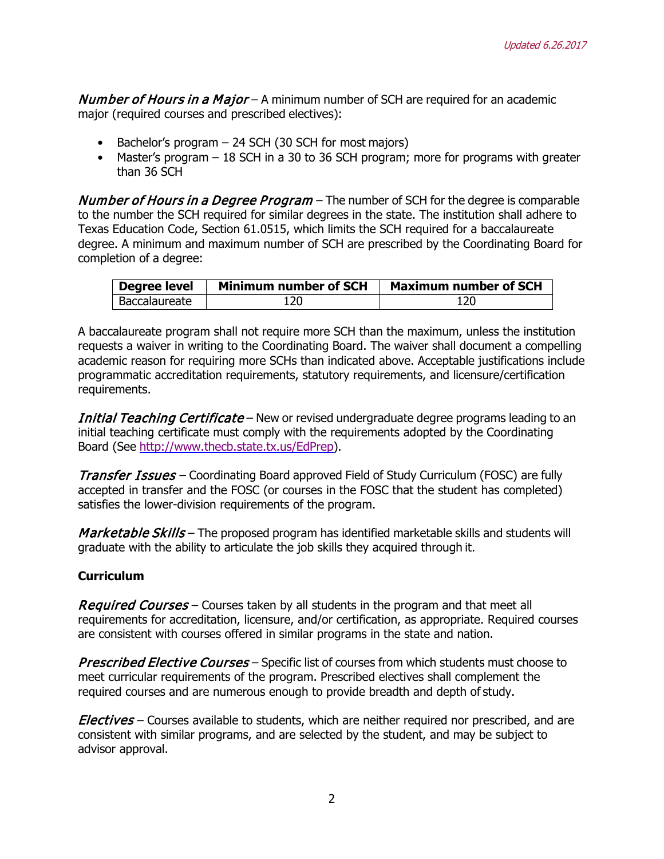**Number of Hours in a Major** – A minimum number of SCH are required for an academic major (required courses and prescribed electives):

- Bachelor's program 24 SCH (30 SCH for most majors)
- Master's program 18 SCH in a 30 to 36 SCH program; more for programs with greater than 36 SCH

Number of Hours in a Degree Program - The number of SCH for the degree is comparable to the number the SCH required for similar degrees in the state. The institution shall adhere to Texas Education Code, Section 61.0515, which limits the SCH required for a baccalaureate degree. A minimum and maximum number of SCH are prescribed by the Coordinating Board for completion of a degree:

| <b>Degree level</b> | <b>Minimum number of SCH</b> | <b>Maximum number of SCH</b> |
|---------------------|------------------------------|------------------------------|
| Baccalaureate       | 120                          |                              |

A baccalaureate program shall not require more SCH than the maximum, unless the institution requests a waiver in writing to the Coordinating Board. The waiver shall document a compelling academic reason for requiring more SCHs than indicated above. Acceptable justifications include programmatic accreditation requirements, statutory requirements, and licensure/certification requirements.

Initial Teaching Certificate – New or revised undergraduate degree programs leading to an initial teaching certificate must comply with the requirements adopted by the Coordinating Board (See [http://www.thecb.state.tx.us/EdPrep\)](http://www.thecb.state.tx.us/EdPrep).

**Transfer Issues** – Coordinating Board approved Field of Study Curriculum (FOSC) are fully accepted in transfer and the FOSC (or courses in the FOSC that the student has completed) satisfies the lower-division requirements of the program.

Marketable Skills – The proposed program has identified marketable skills and students will graduate with the ability to articulate the job skills they acquired through it.

#### **Curriculum**

Required Courses – Courses taken by all students in the program and that meet all requirements for accreditation, licensure, and/or certification, as appropriate. Required courses are consistent with courses offered in similar programs in the state and nation.

**Prescribed Elective Courses** – Specific list of courses from which students must choose to meet curricular requirements of the program. Prescribed electives shall complement the required courses and are numerous enough to provide breadth and depth of study.

*Electives* – Courses available to students, which are neither required nor prescribed, and are consistent with similar programs, and are selected by the student, and may be subject to advisor approval.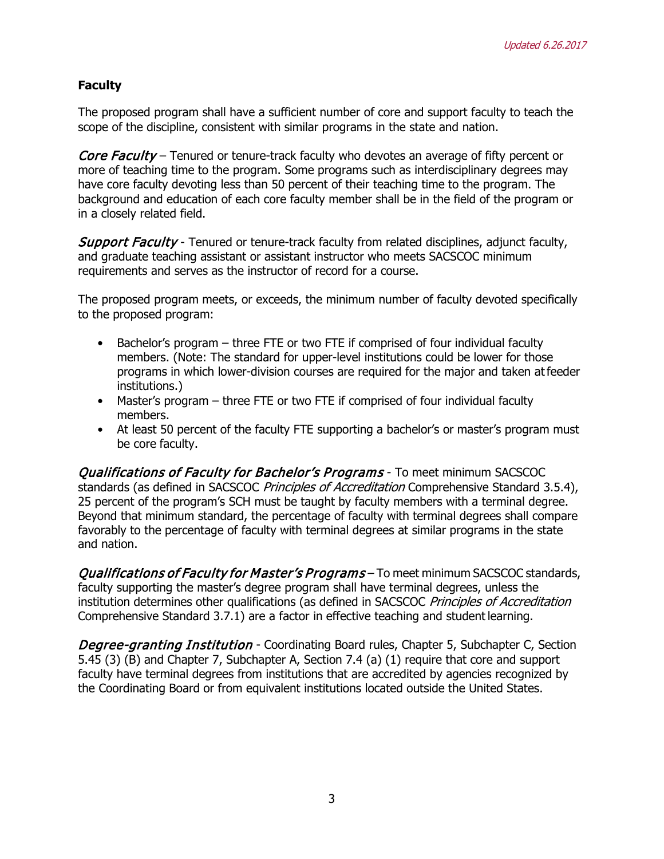### **Faculty**

The proposed program shall have a sufficient number of core and support faculty to teach the scope of the discipline, consistent with similar programs in the state and nation.

Core Faculty – Tenured or tenure-track faculty who devotes an average of fifty percent or more of teaching time to the program. Some programs such as interdisciplinary degrees may have core faculty devoting less than 50 percent of their teaching time to the program. The background and education of each core faculty member shall be in the field of the program or in a closely related field.

**Support Faculty** - Tenured or tenure-track faculty from related disciplines, adjunct faculty, and graduate teaching assistant or assistant instructor who meets SACSCOC minimum requirements and serves as the instructor of record for a course.

The proposed program meets, or exceeds, the minimum number of faculty devoted specifically to the proposed program:

- Bachelor's program three FTE or two FTE if comprised of four individual faculty members. (Note: The standard for upper-level institutions could be lower for those programs in which lower-division courses are required for the major and taken atfeeder institutions.)
- Master's program three FTE or two FTE if comprised of four individual faculty members.
- At least 50 percent of the faculty FTE supporting a bachelor's or master's program must be core faculty.

**Qualifications of Faculty for Bachelor's Programs** - To meet minimum SACSCOC standards (as defined in SACSCOC Principles of Accreditation Comprehensive Standard 3.5.4), 25 percent of the program's SCH must be taught by faculty members with a terminal degree. Beyond that minimum standard, the percentage of faculty with terminal degrees shall compare favorably to the percentage of faculty with terminal degrees at similar programs in the state and nation.

Qualifications of Faculty for Master's Programs – To meet minimum SACSCOC standards, faculty supporting the master's degree program shall have terminal degrees, unless the institution determines other qualifications (as defined in SACSCOC Principles of Accreditation Comprehensive Standard 3.7.1) are a factor in effective teaching and student learning.

**Degree-granting Institution** - Coordinating Board rules, Chapter 5, Subchapter C, Section 5.45 (3) (B) and Chapter 7, Subchapter A, Section 7.4 (a) (1) require that core and support faculty have terminal degrees from institutions that are accredited by agencies recognized by the Coordinating Board or from equivalent institutions located outside the United States.